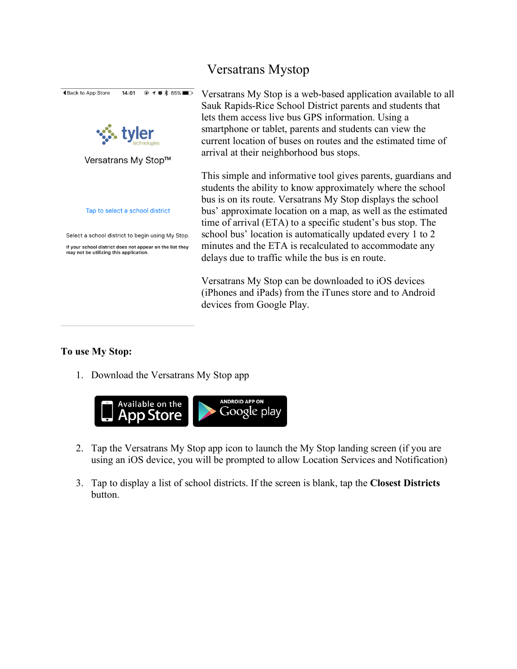

## Versatrans Mystop

Versatrans My Stop is a web-based application available to all Sauk Rapids-Rice School District parents and students that lets them access live bus GPS information. Using a smartphone or tablet, parents and students can view the current location of buses on routes and the estimated time of arrival at their neighborhood bus stops.

This simple and informative tool gives parents, guardians and students the ability to know approximately where the school bus is on its route. Versatrans My Stop displays the school bus' approximate location on a map, as well as the estimated time of arrival (ETA) to a specific student's bus stop. The school bus' location is automatically updated every 1 to 2 minutes and the ETA is recalculated to accommodate any delays due to traffic while the bus is en route.

Versatrans My Stop can be downloaded to iOS devices (iPhones and iPads) from the iTunes store and to Android devices from Google Play.

## **To use My Stop:**

1. Download the Versatrans My Stop app



- 2. Tap the Versatrans My Stop app icon to launch the My Stop landing screen (if you are using an iOS device, you will be prompted to allow Location Services and Notification)
- 3. Tap to display a list of school districts. If the screen is blank, tap the **Closest Districts**  button.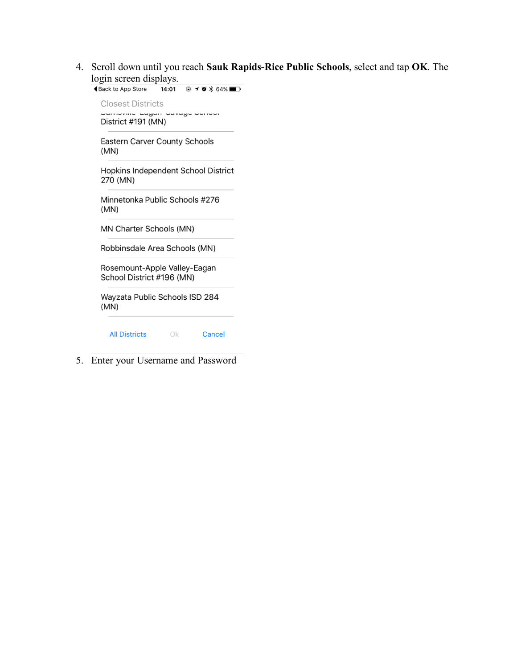4. Scroll down until you reach **Sauk Rapids-Rice Public Schools**, select and tap **OK**. The login screen displays.

| $-7$<br>$r = r$                                           |
|-----------------------------------------------------------|
|                                                           |
| <b>Closest Districts</b>                                  |
| Durnovino Lugun ouvugo oonoor<br>District #191 (MN)       |
| <b>Eastern Carver County Schools</b><br>(MN)              |
| Hopkins Independent School District<br>270 (MN)           |
| Minnetonka Public Schools #276<br>(MN)                    |
| <b>MN Charter Schools (MN)</b>                            |
| Robbinsdale Area Schools (MN)                             |
| Rosemount-Apple Valley-Eagan<br>School District #196 (MN) |
| Wayzata Public Schools ISD 284<br>(MN)                    |
| <b>All Districts</b><br>Cancel<br>Οk                      |

5. Enter your Username and Password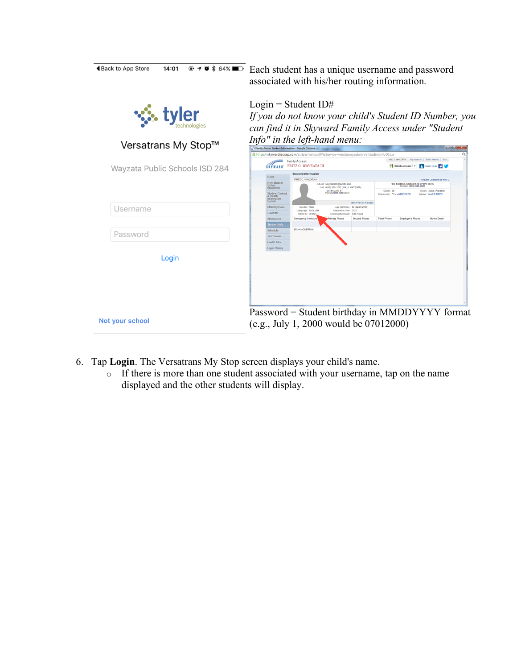| $@70*64%$<br><b>◀Back to App Store</b><br>14:01 | Each student has a unique username and password<br>associated with his/her routing information.                                                                                                                                                                                                                                                                                                                                                                                                                                                                      |
|-------------------------------------------------|----------------------------------------------------------------------------------------------------------------------------------------------------------------------------------------------------------------------------------------------------------------------------------------------------------------------------------------------------------------------------------------------------------------------------------------------------------------------------------------------------------------------------------------------------------------------|
|                                                 | Login = Student $ID#$<br>If you do not know your child's Student ID Number, you<br>can find it in Skyward Family Access under "Student"                                                                                                                                                                                                                                                                                                                                                                                                                              |
| Versatrans My Stop™                             | Info" in the left-hand menu:<br>(1 Family Access Student Information - Google Chrome<br>줄 https://skyward.iscorp.com/scripts/wsisa.dll/WService=wseduwayzatamn/sfstudentinfo001.w                                                                                                                                                                                                                                                                                                                                                                                    |
| Wayzata Public Schools ISD 284                  | WILLY WAYZATA My Account<br>amily Access<br>FRITZ C. WAYZATA III<br>Select Language   V<br>District Links 5<br><b>Student Information</b><br>Home<br><b>FRITZ C. WAYZATA II</b><br>Request Changes for FRITZ<br>New Student<br>Online<br>PRE SCHOOL/GRADUATES/PRIV SCHO<br>School: wayzafri000@ind284.com<br>Phone: (000) 000-000<br>Call: (612) 555-1212 (WILLY WAYZATA)<br>Enrollment<br>1234 N MAIN ST<br>PLYMOUTH, MN 55441<br>Grade: 06<br>Status: Active (Full-time)<br><b>Student Contact</b><br>Homeroom: F1 - MARIE REED<br>Advisor: MARIE REED<br>& Health |
| Jsername                                        | nformation<br>Update<br><b>Mew FRITZ's Familes</b><br>Ethnicity/Race<br><b>Gender: Male</b><br>Ann (Richday): 12 (02/01/2004)<br>Language: ENGLISH<br>Graduation Year: 2022<br>Calendar<br>Other ID: 061827<br>Community Service: 0.00 Hours<br><b>Emergency Contacts</b><br>Attendance<br>Second Phone<br><b>Third Phone</b><br><b>Employer's Phone</b><br><b>Home Email</b><br><b>Student Info</b>                                                                                                                                                                 |
| Password                                        | <b>BRIAN ACKERMAN</b><br>Schedule<br><b>Test Scores</b><br>Health Info                                                                                                                                                                                                                                                                                                                                                                                                                                                                                               |
| Login                                           | Login History<br>Password = Student birthday in MMDDYYYY format                                                                                                                                                                                                                                                                                                                                                                                                                                                                                                      |
| Not your school                                 | $(e.g., July 1, 2000 would be 07012000)$                                                                                                                                                                                                                                                                                                                                                                                                                                                                                                                             |

- 6. Tap **Login**. The Versatrans My Stop screen displays your child's name.
	- o If there is more than one student associated with your username, tap on the name displayed and the other students will display.